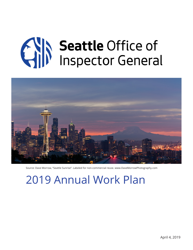# **CAIN Seattle Office of**



Source: Dave Morrow, "Seattle Sunrise". Labeled for non-commercial reuse. www.DaveMorrowPhotography.com

2019 Annual Work Plan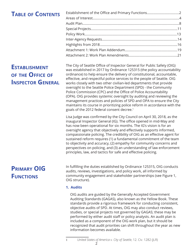# **Table of Contents**

## Establishment of the Office and Primary Functions...................................2 Areas of Interest..............................................................................................4 Audit Plan.........................................................................................................8 Special Projects..............................................................................................11 Policy Work....................................................................................................13 Inter-Agency Requests..................................................................................14 Highlights from 2018....................................................................................16 Attachment 1: Work Plan Addendum.........................................................19 Attachment 2: Work Plan Amendments.....................................................21

# **Establishment of the Office of Inspector General**

**Primary OIG Functions**

The City of Seattle Office of Inspector General for Public Safety (OIG) was established in 2017 by Ordinance 125315 (the policy accountability ordinance) to help ensure the delivery of constitutional, accountable, effective, and respectful police services to the people of Seattle. OIG works closely with two other civilian-led departments that provide oversight to the Seattle Police Department (SPD) - the Community Police Commission (CPC) and the Office of Police Accountability (OPA). OIG provides systemic oversight by auditing and reviewing the management practices and policies of SPD and OPA to ensure the City maintains its course in prioritizing police reform in accordance with the goals of the 2012 federal consent decree.1

Lisa Judge was confirmed by the City Council on April 30, 2018, as the inaugural Inspector General (IG). The office opened in mid-May and has now been operational for six months. The IG's vision is for an oversight agency that objectively and effectively supports informed, compassionate policing. The credibility of OIG as an effective agent for sustained reform requires (1) a fundamental commitment of the team to objectivity and accuracy, (2) empathy for community concerns and perspectives on policing, and (3) an understanding of law enforcement principles, law, and tactics for safe and effective policing.

In fulfilling the duties established by Ordinance 125315, OIG conducts audits, reviews, investigations, and policy work, all informed by community engagement and stakeholder partnerships (see Figure 1, OIG structure).

## **1. Audits**

OIG audits are guided by the Generally Accepted Government Auditing Standards (GAGAS), also known as the Yellow Book. These standards provide a rigorous framework for conducting consistent, objective audits of SPD. At times, OIG may also conduct reviews, studies, or special projects not governed by GAGAS; these may be performed by either audit staff or policy analysts. An audit plan is included as a component of the OIG work plan, but it should be recognized that audit priorities can shift throughout the year as new information becomes available.

<sup>1</sup> *United States of America v. City of Seattle*, 12. Civ. 1282 (JLR)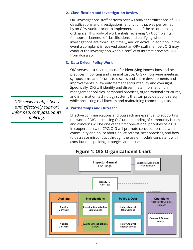## **2. Classification and Investigation Review**

OIG investigations staff perform reviews and/or certifications of OPA classifications and investigations, a function that was performed by an OPA Auditor prior to implementation of the accountability ordinance. This body of work entails reviewing OPA complaints for appropriateness of classifications and certifying whether investigations are thorough, timely, and objective. In addition, in the event a complaint is received about an OPA staff member, OIG may conduct the investigation when a conflict of interest prevents OPA from doing so.

## **3. Data-Driven Policy Work**

OIG serves as a clearinghouse for identifying innovations and best practices in policing and criminal justice. OIG will convene meetings, symposiums, and forums to discuss and share developments and improvements in law enforcement accountability and oversight. Specifically, OIG will identify and disseminate information on management policies, personnel practices, organizational structures, and information technology systems that can provide public safety while protecting civil liberties and maintaining community trust.

## **4. Partnerships and Outreach**

Effective communications and outreach are essential to supporting the work of OIG. Increasing OIG understanding of community issues and concerns will be one of the first operational priorities of 2019. In cooperation with CPC, OIG will promote conversations between community and police about police reform, best practices, and how to decrease misconduct through the use of models consistent with constitutional policing strategies and tactics.



## **Figure 1: OIG Organizational Chart**

*OIG seeks to objectively and effectively support informed, compassioante policing.*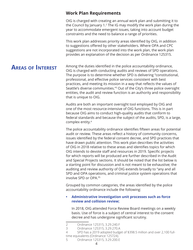## **Work Plan Requirements**

OIG is charged with creating an annual work plan and submitting it to the Council by January 1.2 The IG may modify the work plan during the year to accommodate emergent issues, taking into account budget constraints and the need to balance a range of priorities.

This work plan addresses priority areas identified by OIG, in addition to suggestions offered by other stakeholders. Where OPA and CPC suggestions are not incorporated into the work plan, the work plan provides an explanation of the decision as per Ordinance 125315.

Among the duties identified in the police accountability ordinance, OIG is charged with conducting audits and reviews of SPD operations. The purpose is to determine whether SPD is delivering "constitutional, professional, and effective police services consistent with best practices, and meeting its mission in a way that reflects the values of Seattle's diverse communities."<sup>3</sup> Out of the City's three police oversight entities, the audit and review function is an authority and responsibility that is unique to OIG. **Areas of Interest**

> Audits are both an important oversight tool employed by OIG and one of the most resource-intensive of OIG functions. This is in part because OIG aims to conduct high-quality audits that conform to federal standards and because the subject of the audits, SPD, is a large, complex entity.4

> The police accountability ordinance identifies fifteen areas for potential audit or review. These areas reflect a history of community concerns, issues identified by the federal consent decree, and SPD practices that have drawn public attention. This work plan describes the activities of OIG in 2018 relative to these areas and identifies topics for which OIG intends to devote staff and resources in 2019. Specific projects for which reports will be produced are further described in the Audit and Special Projects sections. It should be noted that the list below is a starting point for discussion and is not meant to be exhaustive; the auditing and review authority of OIG extends broadly to "any and all SPD and OPA operations, and criminal justice system operations that involve SPD or OPA."5

Grouped by common categories, the areas identified by the police accountability ordinance include the following:

## **• Administrative investigation unit processes such as force review and collision review;**

In 2018, OIG attended Force Review Board meetings on a weekly basis. Use of force is a subject of central interest to the consent decree and has undergone significant scrutiny.

<sup>2</sup> Ordinance 125315, 3.29.240.F

<sup>3</sup> Ordinance 125315, 3.29.270.A

<sup>4</sup> SPD has a 2019 adopted budget of \$398.5 million and over 2,100 fulltime equivalents (Ordinance 125724).

<sup>5</sup> Ordinance 125315, 3.29.200.E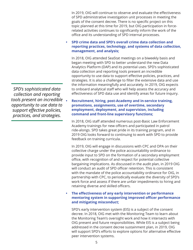In 2019, OIG will continue to observe and evaluate the effectiveness of SPD administrative investigation unit processes in meeting the goals of the consent decree. There is no specific project on this topic planned at this time for 2019, but OIG participation in forcerelated activities continues to significantly inform the work of the office and its understanding of SPD internal processes.

## **• SPD crime data and SPD's overall crime data collection and reporting practices, technology, and systems of data collection, management, and analysis;**

In 2018, OIG attended SeaStat meetings on a biweekly basis and began meeting with SPD to better understand the new Data Analytics Platform (DAP) and its potential uses. SPD's sophisticated data collection and reporting tools present an incredible opportunity to use data to support effective policies, practices, and strategies. It is also a challenge to filter the extensive data and use the information meaningfully and accurately. In 2019, OIG expects to onboard analytical staff who will help assess the accuracy and effectiveness of SPD data use and identify areas for future inquiry.

**• Recruitment, hiring, post-Academy and in-service training, promotions, assignments, use of overtime, secondary employment, deployment, and supervision, including command and front-line supervisory functions;**

In 2018, OIG staff attended numerous post-Basic Law Enforcement Academy trainings for new officers and participated in patrol ride-alongs. SPD takes great pride in its training program, and in 2019 OIG looks forward to continuing to work with SPD to provide feedback on training curricula.

In 2019, OIG will engage in discussions with CPC and OPA on their collective charge under the police accountability ordinance to provide input to SPD on the formation of a secondary employment office, with recognition of and respect for potential collective bargaining implications. As discussed in the audit plan, in 2019 OIG will conduct an audit of SPD officer retention. This is consistent with the mandate of the police accountability ordinance for OIG, in partnership with CPC, to periodically evaluate the diversity of SPD's work force and assess if there are unfair impediments to hiring and retaining diverse and skilled officers.

## **• The effectiveness of any early intervention or performance mentoring system in supporting improved officer performance and mitigating misconduct;**

SPD's early intervention system (EIS) is a subject of the consent decree. In 2018, OIG met with the Monitoring Team to learn about the Monitoring Team's oversight work and how it intersects with OIG present and future responsibilities. While EIS is a subject being addressed in the consent decree sustainment plan, in 2019, OIG will support SPD's efforts to explore options for alternative effective peer intervention systems.

*SPD's sophisticated data collection and reporting tools present an incredible opportunity to use data to support effective policies, practices, and strategies.*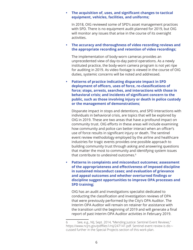#### **• The acquisition of, uses, and significant changes to tactical equipment, vehicles, facilities, and uniforms;**

In 2018, OIG reviewed some of SPD's asset management practices with SPD. There is no equipment audit planned for 2019, but OIG will monitor any issues that arise in the course of its oversight activities.

## **• The accuracy and thoroughness of video recording reviews and the appropriate recording and retention of video recordings;**

The implementation of body-worn cameras provides an unprecedented view of day-to-day patrol operations. As a newly instituted practice, the body-worn camera program is not yet ripe for auditing in 2019. As video footage is viewed in the course of OIG duties, systemic concerns will be noted and addressed.

**• Patterns of practice indicating disparate impact in SPD deployment of officers, uses of force, re-classifications of force; stops, arrests, searches, and interactions with those in behavioral crisis; and incidents of significant concern to the public, such as those involving injury or death in police custody or the management of demonstrations;** 

Disparate impact in stops and detentions, and SPD interactions with individuals in behavioral crisis, are topics that will be explored by OIG in 2019. These are two areas that have a profound impact on community trust. OIG efforts in these areas will include examining how community and police can better interact when an officer's use of force results in significant injury or death. The sentinel event review methodology employed by the airline and healthcare industries for tragic events provides one possible approach to building community trust through asking and answering questions that matter the most to community and identifying system issues that contribute to undesired outcomes.<sup>6</sup>

**• Patterns in complaints and misconduct outcomes; assessment of the appropriateness and effectiveness of imposed discipline in sustained misconduct cases; and evaluation of grievance and appeal outcomes and whether overturned findings or discipline suggest opportunities to improve OPA processes and SPD training;** 

OIG has an audit and investigations specialist dedicated to conducting the classification and investigation reviews of OPA that were previously performed by the City's OPA Auditor. The Interim OPA Auditor will remain on retainer for assistance with the transition until the beginning of 2019 and will generate a final report of past Interim OPA Auditor activities in February 2019.

<sup>6</sup> See, e.g., NIJ, Sept. 2014, "Mending Justice: Sentinel Event Reviews," https://www.ncjrs.gov/pdffiles1/nij/247141.pdf. Sentinel event review is dis¬ cussed further in the Special Projects section of this work plan.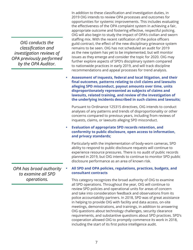*OIG conducts the classification and investigation reviews of OPA previously performed by the OPA Auditor.*

In addition to these classification and investigation duties, in 2019 OIG intends to review OPA processes and outcomes for opportunities for systemic improvements. This includes evaluating the effectiveness of the OPA complaint system in achieving a fair, appropriate outcome and fostering effective, respectful policing. OIG will also begin to study the impact of OPA's civilian and sworn staffing mix. With the recent ratification of the police officers guild contract, the effect of the new disciplinary grievance system remains to be seen. OIG has not scheduled an audit for 2019 as the new system has yet to be implemented, but will monitor issues as they emerge and consider the topic for 2020. OIG may further explore aspects of SPD's disciplinary system compared to nationwide practices in early 2019, and will track discipline recommendations and appeal processes for trend analysis.

**• Assessment of inquests, federal and local litigation, and their final outcomes, patterns relating to civil claims and lawsuits alleging SPD misconduct, payout amounts over time, units disproportionately represented as subjects of claims and lawsuits, related training, and review of the investigation of the underlying incidents described in such claims and lawsuits;**

Pursuant to Ordinance 125315 directives, OIG intends to conduct analyses of any patterns and trends of disproportionality or other concerns compared to previous years, including from reviews of inquests, claims, or lawsuits alleging SPD misconduct.

**• Evaluation of appropriate SPD records retention, and conformity to public disclosure, open access to information, and privacy standards;** 

Particularly with the implementation of body-worn cameras, SPD ability to respond to public disclosure requests will continue to experience resource pressures. There is no audit of public records planned in 2019, but OIG intends to continue to monitor SPD public disclosure performance as an area of known risk.

## **• All SPD and OPA policies, regulations, practices, budgets, and consultant contracts**

This category recognizes the broad authority of OIG to examine all SPD operations. Throughout the year, OIG will continue to review SPD policies and operational units for areas of concern and take into consideration feedback and observations from its police accountability partners. In 2018, SPD was of great assistance in helping to provide OIG with facility and data access, on-site meetings, demonstrations, and trainings, in addition to answering OIG questions about technology challenges, security clearance requirements, and substantive questions about SPD practices. SPD's cooperation allowed OIG to promptly commence its work in 2018, including the start of its first police intelligence audit.

*OPA has broad authority to examine all SPD operations.*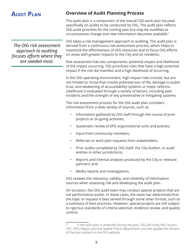# **AUDIT PLAN**

*The OIG risk assessment approach to auditing focuses efforts where they are needed most.* 

# **Overview of Audit Planning Process**

The audit plan is a component of the overall OIG work plan focused specifically on audits to be conducted by OIG. The audit plan reflects OIG audit priorities for the coming year but may be modified as circumstances change and new information becomes available.7

OIG takes a risk management approach to auditing. The audit plan is derived from a continuous risk assessment process, which helps to maximize the effectiveness of OIG resources and to focus OIG efforts on areas with greater impacts to the City and its residents.

Risk assessment has two components: potential impact and likelihood of the impact occurring. OIG prioritizes risks that have a high potential impact if the risk did manifest and a high likelihood of occurring.

In the OIG operating environment, high impact risks include, but are not limited to, those that involve potential loss of life, damage to public trust, and weakening of accountability systems or major reforms. Likelihood is evaluated through a variety of factors, including past incidents and the strength of any preventative or mitigating systems.

The risk assessment process for the OIG audit plan considers information from a wide variety of sources, such as:

- Information gathered by OIG staff through the course of prior projects or on-going activities;
- Systematic review of SPD organizational units and policies;
- Input from community members;
- Referrals or work plan requests from stakeholders;
- Prior audits completed by OIG itself, the City Auditor, or audit entities in other jurisdictions;
- Reports and internal analyses produced by the City or relevant partners; and
- Media reports and investigations.

OIG reviews the relevancy, validity, and reliability of information sources when assessing risk and developing the audit plan.

On occasion, the OIG audit team may conduct special projects that are not performance audits. In these cases, the team has determined that the topic or request is best served through some other format, such as a summary of best practices. However, special projects are still subject to rigorous standards of criteria selection, evidence review, and quality control.

If the work plan is amended during the year, OIG will notify the Council, CPC, OPA, Mayor, and the Seattle Police Department, and will update the version of the plan posted on the OIG website.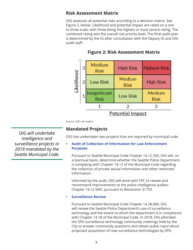## **Risk Assessment Matrix**

OIG assesses all potential risks according to a decision matrix. See Figure 2, below. Likelihood and potential impact are rated on a one to three scale, with three being the highest or most severe rating. The combined rating sets the overall risk priority level. The final audit plan is determined by the IG after consultation with the Deputy IG and OIG audit staff.



## **Figure 2: Risk Assessment Matrix**

Source: OIG risk matrix.

## **Mandated Projects**

OIG has undertaken two projects that are required by municipal code.

## **• Audit of Collection of Information for Law Enforcement Purposes**

Pursuant to Seattle Municipal Code Chapter 14.12.330, OIG will, on a biannual basis, determine whether the Seattle Police Department is complying with Chapter 14.12 of the Municipal Code regarding the collection of private sexual information and other restricted information.

Informed by the audit, OIG will work with CPC to review and recommend improvements to the police intelligence auditor Chapter 14.12 SMC, pursuant to Resolution 31753.

#### **• Surveillance Review**

Pursuant to Seattle Municipal Code Chapter 14.28.060, OIG will review the Seattle Police Department's use of surveillance technology and the extent to which the department is in compliance with Chapter 14.18 of the Municipal Code. In 2018, OIG attended the SPD surveillance technology community meetings held by the City to answer community questions and obtain public input about proposed acquisition of new surveillance technologies by SPD.

*OIG will undertake intelligence and surveillance projects in 2019 mandated by the Seattle Municipal Code.*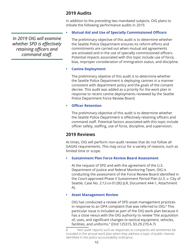## **2019 Audits**

In addition to the preceding two mandated subjects, OIG plans to initiate the following performance audits in 2019.

## **• Mutual Aid and Use of Specially Commissioned Officers**

*In 2019 OIG will examine whether SPD is effectively retaining officers and command staff.*

The preliminary objective of this audit is to determine whether the Seattle Police Department ensures its reform efforts and commitments are carried out when mutual aid agreements are activated and in the use of specially commissioned officers. Potential impacts associated with this topic include use of force, bias, improper consideration of immigration status, and discipline.

## **• Canine Deployment**

The preliminary objetive of this audit is to determine whether the Seattle Police Department is deploying canines in a manner consistent with department policy and the goals of the consent decree. This audit was added as a priority for the work plan in response to recent canine deployments reviewed by the Seattle Police Department Force Review Board.

## **• Officer Retention**

The preliminary objective of this audit is to determine whether the Seattle Police Department is effectively retaining officers and command staff. Potential factors associated with this topic include officer safety, staffing, use of force, discipline, and supervision.

## **2019 Reviews**

At times, OIG will perform non-audit reviews that do not follow all GAGAS requirements. This may occur for a variety of reasons, such as limited time or scope.

## **• Sustainment Plan Force Review Board Assessment**

At the request of SPD and with the agreement of the U.S. Department of Justice and federal Monitoring Team, OIG is conducting the assessment of the Force Review Board identified in the Court-approved Phase II Sustainment Period Plan (U.S. v. City of Seattle, Case No. 2:12-cv-01282-JLR, Document 444-1, Attachment A).

## **• Asset Management Review**

OIG has conducted a review of SPD asset management practices in response to an OPA complaint that was referred to OIG.<sup>8</sup> This particular issue is included as part of the OIG work plan because it has a close nexus with the OIG authority to review "the acquisition of, uses, and significant changes to tactical equipment, vehicles, facilities, and uniforms." (Ord 125315, §3.29.270.A.7)

<sup>8</sup> Non-audit reports such as responses to complaints will sometimes be included in the annual work plan when they address a topic of public interest identified in the police accountability ordinance.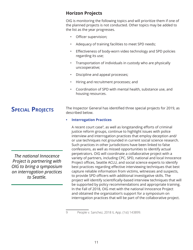## **Horizon Projects**

OIG is monitoring the following topics and will prioritize them if one of the planned projects is not conducted. Other topics may be added to the list as the year progresses.

- Officer supervision;
- Adequacy of training facilities to meet SPD needs;
- Effectiveness of body-worn video technology and SPD policies regarding its use;
- Transportation of individuals in custody who are physically uncooperative;
- Discipline and appeal processes;
- Hiring and recruitment processes; and
- Coordination of SPD with mental health, substance use, and housing resources.

# **Special Projects**

The Inspector General has identified three special projects for 2019, as described below.

## **• Interrogation Practices**

A recent court case<sup>9</sup>, as well as longstanding efforts of criminal justice reform groups, continue to highlight issues with police interview and interrogation practices that employ deception and/ or use techniques not grounded in current social science research. Such practices in other jurisdictions have been linked to false confessions, as well as missed opportunities to identify actual perpetrators. OIG will coordinate a collaborative project with a variety of partners, including CPC, SPD, national and local Innocence Project offices, Seattle ACLU, and social science experts to identify best practices regarding effective interviewing techniques that best capture reliable information from victims, witnesses and suspects, to provide SPD officers with additional investigative skills. The project will identify scientifically-based interview techniques that will be supported by policy recommendations and appropriate training. In the Fall of 2018, OIG met with the national Innocence Project and obtained the organization's support for a symposium on interrogation practices that will be part of the collaborative project.

*The national Innocence Project is partnering with OIG to bring a symposium on interrogation practices to Seattle.*

<sup>9</sup> People v. Sanchez, 2018 IL App. (1st) 143899.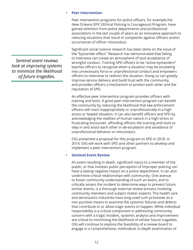#### **• Peer Intervention**

Peer intervention programs for police officers, for example the New Orleans EPIC (Ethical Policing Is Courageous) Program, have gained attention from police departments and professional associations in the last couple of years as an innovative approach to reducing situations that result in complaints against officers and/or occurrences of officer misconduct.

Significant social science research has been done on the issue of the "bystander effect." Research has demonstrated that failing to intervene can create an atmosphere of tacit acceptance of wrongful conduct. Training SPD officers to be "active bystanders" teaches officers to recognize when a situation may be escalating into unnecessary force or unprofessional conduct and empowers officers to intervene to redirect the situation. Doing so can greatly improve service delivery and build trust with the community, and provides officers a mechanism to protect each other and the reputation of SPD.

An effective peer intervention program provides officers with training and tools. A good peer intervention program can benefit the community by reducing the likelihood that law enforcement officers will react inappropriately or unprofessionally in a high stress or heated situation. It can also benefit officers and SPD by acknowledging the realities of human nature in a high stress or frustrating encounter, affording officers the training and tools to step in and assist each other in de-escalation and avoidance of unprofessional behavior or misconduct.

OIG presented a proposal for this program to SPD in 2018. In 2019, OIG will work with SPD and other partners to develop and implement a peer intervention program.

#### **• Sentinel Event Review**

An event resulting in death, significant injury to a member of the public, or that involves public perception of improper policing can have a lasting negative impact on a police department. It can also undermine critical relationships with community. One avenue to foster community understanding of such an event, and to critically assess the incident to determine ways to prevent future similar events, is a thorough external review process involving community members and subject matter experts. The health care and aeronautics industries have long used such processes as a non-punitive means to examine the systemic failures and defects that contribute to or allow tragic events to happen. While individual responsibility is a critical component in addressing community concern with a tragic incident, systemic analysis and improvement are critical to minimizing the likelihood of similar future tragedies. OIG will continue to explore the feasibility of a review board to engage in a comprehensive, methodical, in-depth examination of

*Sentinel event reviews look at improving systems to minimize the likelihood of future tragedies.*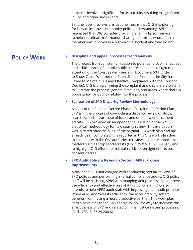incidents involving significant force, pursuits resulting in significant injury, and other such events.

Sentinel event reviews are just one means that OIG is exploring for how to improve community-police understanding. SPD has requested that OIG consider providing a family liaison service to help coordinate information-sharing to families whose family member was involved in a high-profile incident and who do not

# **Policy Work**

## **• Discipline and appeal processes trend analysis**

The process from complaint initiation to potential discipline, appeal, and arbitration is of notable public interest, and has caught the attention of the Court as well (see, e.g., Document 504, Order to Show Cause Whether the Court Should Find that the City has Failed to Maintain Full and Effective Compliance with the Consent Decree). OIG is diagramming the complaint and disciplinary system to illustrate the process, general timelines, and areas where there is opportunity for public visibility into the process.

## **• Evaluation of SPD Disparity Review Methodology**

As part of the Consent Decree Phase II Sustainment Period Plan, SPD is in the process of conducting a disparity review of stops, searches, and seizure; use of force; and other law enforcement activity. OIG provided an independent evaluation of the SPD statistical methodology for its disparity review. This evaluation was initiated after the filing of the original OIG work plan and has already been completed; it is reported in this OIG work plan due to its nexus with the OIG authority to review disparate impacts in matters such as stops and arrests (Ord 125315, §3.29.270.A.9) and to highlight OIG efforts to maintain critical oversight efforts postconsent decree.

## **• SPD Audit Policy & Research Section (APRS) Process Improvements**

APRS is the SPD unit charged with conducting regular reviews of SPD policies and performing internal compliance audits. OIG policy staff will be assisting APRS with mapping unit processes to improve the efficiency and effectiveness of APRS policy staff. OIG also intends to help APRS audit staff with improving their audit practices. When APRS improves its efficiency, the accountability system benefits from having a more productive partner. This work plan item also relates to the OIG charge to look for ways to increase the effectiveness of SPD and related criminal justice system processes. (Ord 125315, §3.29.200.K)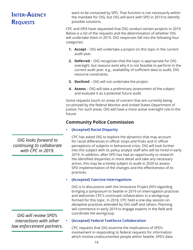## want to be contacted by SPD. That function is not necessarily within the mandate for OIG, but OIG will work with SPD in 2019 to identify possible solutions. CPC and OPA have requested that OIG conduct certain projects in 2019. Below is a list of the requests and the determination of whether OIG will undertake them in 2019. OIG responses fall into the following four categories: **1. Accept** – OIG will undertake a project on this topic in the current audit year. **2. Deferred** – OIG recognizes that the topic is appropriate for OIG oversight, but reasons exist why it is not feasible to perform in the current audit year, e.g., availability of sufficient data to audit, OIG resource constraints. **3. Declined** – OIG will not undertake the project. **4. Assess** – OIG will take a preliminary assessment of the subject and evaluate it as a potential future audit. Some requests touch on areas of concern that are currently being scrutinized by the federal Monitor and United States Department of Justice. For such areas, OIG will have a more active oversight role in the future. **Community Police Commission • [Accepted] Racial Disparity**  CPC has asked OIG to explore the dynamics that may account for racial differences in officer stops and frisks and in officer perceptions of subjects in behavioral crisis. OIG will look further into this subject with its policy analyst staff who will be hired in early 2019. In addition, after SPD has had an opportunity to research the identified disparities in more detail and take any necessary action, this may be a timely subject to audit in 2020 to assess SPD implementation of the changes and the effectiveness of its practices. **• [Accepted] Coercive Interrogations**  OIG is in discussions with the Innocence Project (NY) regarding bringing a symposium to Seattle in 2019 on interrogation practices and welcomes CPC's continued collaboration in a workgroup formed for this topic. In 2018, CPC held a one-day session on deceptive practices attended by OIG staff and others. Planning will commence in early 2019 to engage experts in the field and **Inter-Agency Requests** *OIG looks forward to continuing to collaborate with CPC in 2019.*

*OIG will review SPD's interactions with other law enforcement partners.*

## **• [Accepted] Federal Taskforce Collaboration**

CPC requests that OIG examine the implications of SPD's involvement in responding to federal requests for information which involve undocumented people within Seattle. SPD's data

coordinate the workgroup.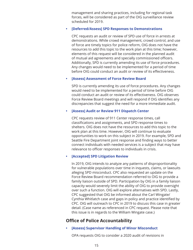management and sharing practices, including for regional task forces, will be considered as part of the OIG surveillance review scheduled for 2019.

#### **• [Deferred/Assess] SPD Responses to Demonstrations**

CPC requests an audit or review of SPD use of force in arrests at demonstrations. While crowd management, crowd control, and use of force are timely topics for police reform, OIG does not have the resources to add this topic to the work plan at this time; however, elements of this request will be considered in the planned audit of mutual aid agreements and specially commissioned officers. Additionally, SPD is currently amending its use of force procedures. Any changes would need to be implemented for a period of time before OIG could conduct an audit or review of its effectiveness.

#### **• [Assess] Assessment of Force Review Board**

SPD is currently amending its use of force procedures. Any changes would need to be implemented for a period of time before OIG could conduct an audit or review of its effectiveness. OIG observes Force Review Board meetings and will respond if OIG identifies any discrepancies that suggest the need for a more immediate audit.

#### **• [Assess] Audit or Review 911 Dispatch Center**

CPC requests review of 911 Center response times, call classifications and assignments, and SPD response times to shelters. OIG does not have the resources to add this topic to the work plan at this time. However, OIG will continue to evaluate opportunities to work on this subject in 2019. For example, SPD and Seattle Fire Department joint response and finding ways to better connect individuals with needed services is a subject that may have relevance to officer responses to individuals in crisis.

#### **• [Accepted] SPD Litigation Review**

In 2019, OIG intends to analyze any patterns of disproportionality for vulnerable populations over time in inquests, claims, or lawsuits alleging SPD misconduct. CPC also requested an update on the Force Review Board recommendation referred to OIG to provide a family liaison outside of SPD. Participation by OIG in a family liaison capacity would severely limit the ability of OIG to provide oversight over such a function. OIG will explore alternatives with SPD. Lastly, CPC suggested that OIG be informed about the Carl Wingate/ Cynthia Whitlatch case and gaps in policy and practice identified by CPC. OIG will outreach to CPC in 2019 to discuss this case in greater detail. (Case name as referenced in CPC request. Please note that this issue is in regards to the William Wingate case.)

## **Office of Police Accountability**

**• [Assess] Supervisor Handling of Minor Misconduct** 

OPA requests OIG to consider a 2020 audit of revisions in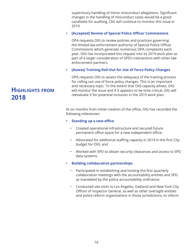supervisory handling of minor misconduct allegations. Significant changes in the handling of misconduct cases would be a good candidate for auditing. OIG will continue to monitor this issue in 2019.

## **• [Accepted] Review of Special Police Officer Commissions**

OPA requests OIG to review policies and practices governing the limited law enforcement authority of Special Police Officer Commissions which generate numerous OPA complaints each year. OIG has incorporated this request into its 2019 work plan as part of a larger consideration of SPD's interactions with other law enforcement partners.

## **• [Assess] Training Roll-Out for Use of Force Policy Changes**

OPA requests OIG to assess the adequacy of the training process for rolling out use of force policy changes. This is an important and necessary topic. To the extent that OIG capacity allows, OIG will monitor the issue and if it appears to be time critical, OIG will reevaluate it for potential inclusion in the 2019 work plan.

At six months from initial creation of the office, OIG has recorded the following milestones:

- **• Standing up a new office** 
	- Created operational infrastructure and secured future permanent office space for a new independent office;
	- Advocated for additional staffing capacity in 2019 in the first City budget for OIG; and
	- Worked with SPD to obtain security clearances and access to SPD data systems.
- **• Building collaborative partnerships** 
	- Participated in establishing and hosting the first quarterly collaboration meetings with the accountability entities and SPD as mandated by the police accountability ordinance;
	- Conducted site visits to Los Angeles, Oakland and New York City Offices of Inspector General, as well as other oversight entities and police reform organizations in those jurisdictions, to inform

# **Highlights from 2018**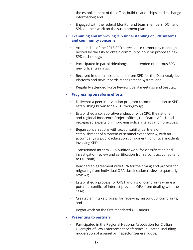the establishment of the office, build relationships, and exchange information; and

- Engaged with the federal Monitor and team members, DOJ, and SPD on their work on the sustainment plan.
- **• Examining and improving OIG understanding of SPD systems and community concerns** 
	- Attended all of the 2018 SPD surveillance community meetings hosted by the City to obtain community input on proposed new SPD technology;
	- Participated in patrol ridealongs and attended numerous SPD new officer trainings;
	- Received in-depth introductions from SPD for the Data Analytics Platform and new Records Management System; and
	- Regularly attended Force Review Board meetings and SeaStat.
- **• Progressing on reform efforts** 
	- Delivered a peer intervention program recommendation to SPD, establishing buy-in for a 2019 workgroup;
	- Established a collaborative endeavor with CPC, the national and regional Innocence Project offices, the Seattle ACLU, and recognized experts on improving police interrogation practices;
	- Began conversations with accountability partners on establishment of a system of sentinel event review, with an accompanying public education component, for critical incidents involving SPD;
	- Transitioned Interim OPA Auditor work for classification and investigation review and certification from a contract consultant to OIG staff;
	- Reached an agreement with OPA for the timing and process for migrating from individual OPA classification review to quarterly reviews;
	- Established a process for OIG handling of complaints where a potential conflict of interest prevents OPA from dealing with the case;
	- Created an intake process for receiving misconduct complaints; and
	- Began work on the first mandated OIG audits.
- **• Presenting to partners** 
	- Participated in the Regional National Association for Civilian Oversight of Law Enforcement conference in Seattle, including moderation of a panel by Inspector General Judge;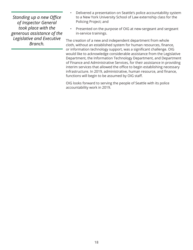*Standing up a new Office of Inspector General took place with the generous assistance of the Legislative and Executive Branch.* 

- Delivered a presentation on Seattle's police accountability system to a New York University School of Law externship class for the Policing Project; and
- Presented on the purpose of OIG at new-sergeant and sergeant in-service trainings.

The creation of a new and independent department from whole cloth, without an established system for human resources, finance, or information technology support, was a significant challenge. OIG would like to acknowledge considerable assistance from the Legislative Department, the Information Technology Department, and Department of Finance and Administrative Services, for their assistance in providing interim services that allowed the office to begin establishing necessary infrastructure. In 2019, administrative, human resource, and finance, functions will begin to be assumed by OIG staff.

OIG looks forward to serving the people of Seattle with its police accountability work in 2019.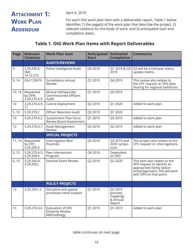# **ATTACHMENT 1: Work Plan Addendum**

April 4, 2019

For each OIG work plan item with a deliverable report, Table 1 below identifies 1) the page(s) of the work plan that describe the project, 2) relevant citations for the body of work, and 3) anticipated start and completion dates.

## **Table 1. OIG Work Plan Items with Report Deliverables**

| Page   | <b>Relevant</b><br><b>Citations</b>    | <b>Work Plan Item</b>                                              | Anticipated<br><b>Start</b> | <b>Estimated</b><br><b>Completion</b>                 | <b>Comments</b>                                                                                                                                        |
|--------|----------------------------------------|--------------------------------------------------------------------|-----------------------------|-------------------------------------------------------|--------------------------------------------------------------------------------------------------------------------------------------------------------|
|        |                                        | <b>AUDITS/REVIEWS</b>                                              |                             |                                                       |                                                                                                                                                        |
| 9      | 3.29.240.E;<br><b>SMC</b><br>14.12.310 | Police Intelligence Audit                                          | Q4 2018                     | Q1 2019 & Q3<br>2019                                  | Q3 will be a mid-year status<br>update memo.                                                                                                           |
| 9, 14  | Ord 125679                             | Surveillance Annual<br>Review                                      | Q1 2019                     | Q4 2019                                               | This review also relates to<br>the CPC request re: SPD data<br>sharing for regional taskforces                                                         |
| 10, 16 | Requested<br>by OPA;<br>3.29.270.A.9   | Mutual Aid/Specially<br><b>Commissioned Officers</b><br>Audit      | Q1 2019                     | Q3 2019                                               |                                                                                                                                                        |
| 10     | 3.29.270.A.9-<br>11                    | Canine Deployment                                                  | Q2 2019                     | Q1 2020                                               | Added to work plan                                                                                                                                     |
| 5, 10  | 3.29.270.C                             | <b>Officer Retention Audit</b>                                     | Q3 2019                     | Q1 2020                                               |                                                                                                                                                        |
| 10     | 3.29.270.A.2                           | Sustainment Plan Force<br><b>Review Board Assessment</b>           | Q1 2019                     | Q3 2019                                               | Added to work plan                                                                                                                                     |
| 10     | 3.29.270.A.7                           | Asset Management<br>Review                                         | Q4 2018                     | Q2 2019                                               | Added to work plan                                                                                                                                     |
|        |                                        | <b>SPECIAL PROJECTS</b>                                            |                             |                                                       |                                                                                                                                                        |
| 11, 14 | Requested<br>by CPC;<br>3.29.200.K     | <b>Interrogation Best</b><br>Practices                             | Q4 2018                     | Q3 2019 and<br>2020 sympo-<br>sium                    | This project also relates to the<br>CPC request re: interrogations.                                                                                    |
| 5, 12  | 3.29.270.A.5;<br>3.29.200.K            | Peer Intervention<br>Program                                       | Q4 2018                     | Dependent<br>on SPD                                   |                                                                                                                                                        |
| 6, 12  | 3.29.200.K;<br>3.29.200.J              | Sentinel Event Review                                              | Q2 2019                     | Q2 2020                                               | This item also relates to the<br>SPD request to identify an<br>appropriate family liaison<br>entity/approach; OIG will work<br>with OPA on that point. |
|        |                                        | <b>POLICY PROJECTS</b>                                             |                             |                                                       |                                                                                                                                                        |
| 13     | 3.29.200.I.3                           | Discipline and appeal<br>processes trend analysis                  | Q1 2019                     | Q2 2019<br>(process<br>mapping)<br>& Annual<br>Report |                                                                                                                                                        |
| 13     | 3.29.270.A.6                           | <b>Evaluation of SPD</b><br><b>Disparity Review</b><br>Methodology | Q1 2019                     | Q1 2019                                               | Added to work plan                                                                                                                                     |

table continues on next page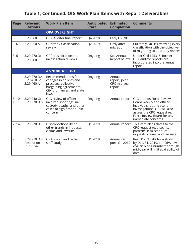# **Table 1, Continued. OIG Work Plan Items with Report Deliverables**

| <b>Page</b>    | <b>Relevant</b><br><b>Citations</b>        | <b>Work Plan Item</b>                                                                                                                    | Anticipated<br><b>Start</b> | <b>Estimated</b><br><b>Completion</b>             | <b>Comments</b>                                                                                                                                                                                      |
|----------------|--------------------------------------------|------------------------------------------------------------------------------------------------------------------------------------------|-----------------------------|---------------------------------------------------|------------------------------------------------------------------------------------------------------------------------------------------------------------------------------------------------------|
|                |                                            | <b>OPA OVERSIGHT</b>                                                                                                                     |                             |                                                   |                                                                                                                                                                                                      |
| 6              | 3.28.860                                   | OPA Auditor final report                                                                                                                 | Q4 2018                     | Early Q2 2019                                     |                                                                                                                                                                                                      |
| 3, 6           | 3.29.250.A                                 | Quarterly classification<br>review                                                                                                       | Q2 2019                     | Qtrly after<br>migration                          | Currently OIG is reviewing every<br>classification with the objective<br>of migrating to quarterly review                                                                                            |
| 3, 6           | 3.29.270.D;<br>3.29.200.F                  | OPA classification and<br>investigation reviews                                                                                          | Ongoing                     | See Annual<br>Report below                        | Under Ord 125315, former<br>OPA auditor reports are<br>incorporated into the annual<br>report.                                                                                                       |
|                |                                            | <b>ANNUAL REPORT</b>                                                                                                                     |                             |                                                   |                                                                                                                                                                                                      |
|                | 3.29.270.D.4;<br>3.29.410.G;<br>3.29.460.A | Recommendations for<br>changes in policies and<br>practices, collective<br>bargaining agreements,<br>City ordinances, and state<br>laws; | Ongoing                     | Annual<br>report; joint<br>CPC mid-year<br>report |                                                                                                                                                                                                      |
| 5, 10,<br>15   | 3.29.240.G;<br>3.29.270.D.6                | OIG review of officer-<br>involved shootings, in-<br>custody deaths, and other<br>cases of significant public<br>concern                 | Ongoing                     | Annual report                                     | OIG attends Force Review<br>Board weekly and officer-<br>involved shooting scene<br>investigations. OIG will also<br>assess the CPC request re:<br>Force Review Board for any<br>immediate concerns. |
| 7, 14          | 3.29.270.D                                 | Disproportionality or<br>other trends in inquests,<br>claims and lawsuits                                                                | Q1 2019                     | Annual report                                     | This item also relates to the<br>CPC request re: disparity<br>patterns in misconduct<br>inquests, claims, and lawsuits.                                                                              |
| $\overline{7}$ | 3.29.270.D.8;<br>Resolution<br>31753 §4    | OPA sworn and civilian<br>staff study                                                                                                    | Q1 2019                     | Annual re-<br>port; Q4 2019                       | Res. 31753 calls for a study<br>by Dec. 31, 2019, but OPA low<br>civilian hiring numbers through<br>mid-year will limit availability of<br>data.                                                     |